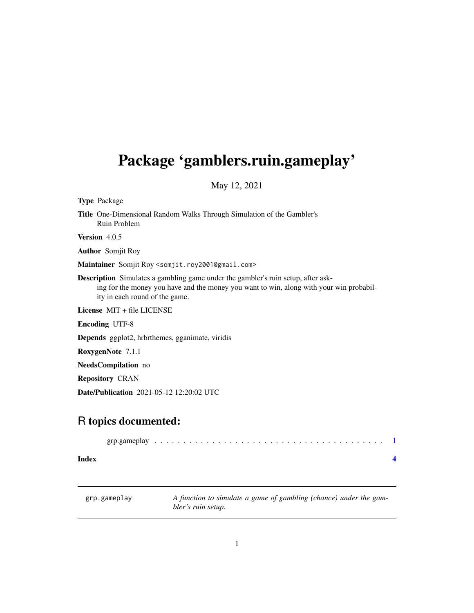## <span id="page-0-0"></span>Package 'gamblers.ruin.gameplay'

May 12, 2021

Type Package

Title One-Dimensional Random Walks Through Simulation of the Gambler's Ruin Problem

Version 4.0.5

Author Somjit Roy

Maintainer Somjit Roy <somjit.roy2001@gmail.com>

Description Simulates a gambling game under the gambler's ruin setup, after asking for the money you have and the money you want to win, along with your win probability in each round of the game.

License MIT + file LICENSE

Encoding UTF-8

Depends ggplot2, hrbrthemes, gganimate, viridis

RoxygenNote 7.1.1

NeedsCompilation no

Repository CRAN

Date/Publication 2021-05-12 12:20:02 UTC

### R topics documented:

| Index |  |  |  |  |  |  |  |  |  |  |  |  |  |  |  |  |  |
|-------|--|--|--|--|--|--|--|--|--|--|--|--|--|--|--|--|--|

grp.gameplay *A function to simulate a game of gambling (chance) under the gambler's ruin setup.*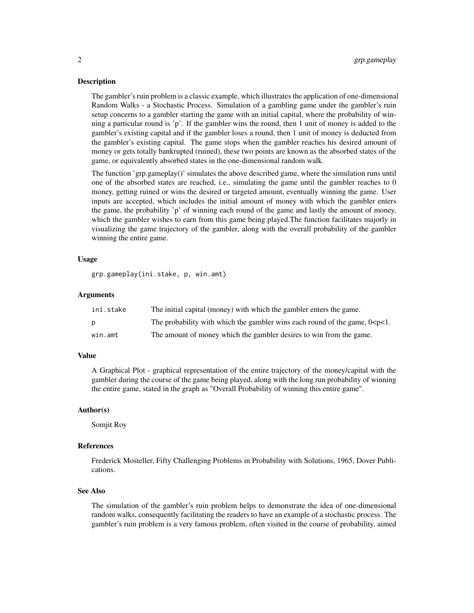#### Description

The gambler's ruin problem is a classic example, which illustrates the application of one-dimensional Random Walks - a Stochastic Process. Simulation of a gambling game under the gambler's ruin setup concerns to a gambler starting the game with an initial capital, where the probability of winning a particular round is 'p'. If the gambler wins the round, then 1 unit of money is added to the gambler's existing capital and if the gambler loses a round, then 1 unit of money is deducted from the gambler's existing capital. The game stops when the gambler reaches his desired amount of money or gets totally bankrupted (ruined), these two points are known as the absorbed states of the game, or equivalently absorbed states in the one-dimensional random walk.

The function 'grp.gameplay()' simulates the above described game, where the simulation runs until one of the absorbed states are reached, i.e., simulating the game until the gambler reaches to 0 money, getting ruined or wins the desired or targeted amount, eventually winning the game. User inputs are accepted, which includes the initial amount of money with which the gambler enters the game, the probability 'p' of winning each round of the game and lastly the amount of money, which the gambler wishes to earn from this game being played.The function facilitates majorly in visualizing the game trajectory of the gambler, along with the overall probability of the gambler winning the entire game.

#### Usage

grp.gameplay(ini.stake, p, win.amt)

#### **Arguments**

| ini.stake | The initial capital (money) with which the gambler enters the game.               |
|-----------|-----------------------------------------------------------------------------------|
| D         | The probability with which the gambler wins each round of the game, $0 < p < 1$ . |
| win.amt   | The amount of money which the gambler desires to win from the game.               |

#### Value

A Graphical Plot - graphical representation of the entire trajectory of the money/capital with the gambler during the course of the game being played, along with the long run probability of winning the entire game, stated in the graph as "Overall Probability of winning this entire game".

#### Author(s)

Somjit Roy

#### References

Frederick Mosteller, Fifty Challenging Problems in Probability with Solutions, 1965, Dover Publications.

#### See Also

The simulation of the gambler's ruin problem helps to demonstrate the idea of one-dimensional random walks, consequently facilitating the readers to have an example of a stochastic process. The gambler's ruin problem is a very famous problem, often visited in the course of probability, aimed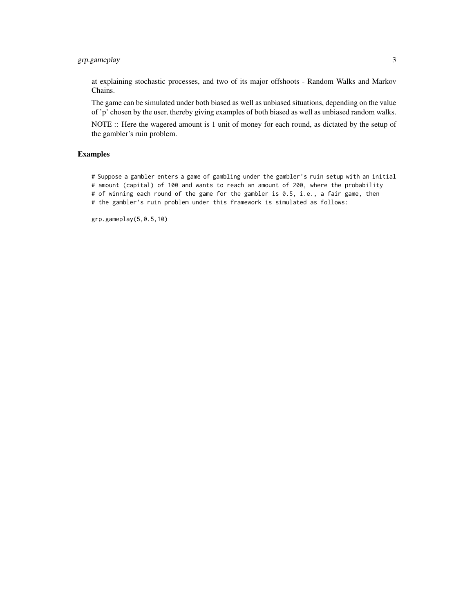#### grp.gameplay 3

at explaining stochastic processes, and two of its major offshoots - Random Walks and Markov Chains.

The game can be simulated under both biased as well as unbiased situations, depending on the value of 'p' chosen by the user, thereby giving examples of both biased as well as unbiased random walks.

NOTE :: Here the wagered amount is 1 unit of money for each round, as dictated by the setup of the gambler's ruin problem.

#### Examples

# Suppose a gambler enters a game of gambling under the gambler's ruin setup with an initial # amount (capital) of 100 and wants to reach an amount of 200, where the probability # of winning each round of the game for the gambler is 0.5, i.e., a fair game, then

# the gambler's ruin problem under this framework is simulated as follows:

grp.gameplay(5,0.5,10)